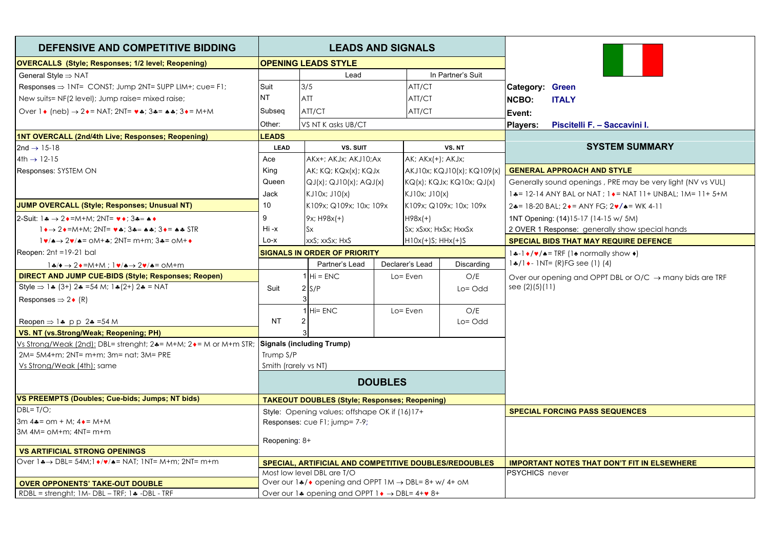| DEFENSIVE AND COMPETITIVE BIDDING                                                                                                                                              | <b>LEADS AND SIGNALS</b>                             |                                                                       |                                                                        |                               |                   |                                                                         |                                                                       |
|--------------------------------------------------------------------------------------------------------------------------------------------------------------------------------|------------------------------------------------------|-----------------------------------------------------------------------|------------------------------------------------------------------------|-------------------------------|-------------------|-------------------------------------------------------------------------|-----------------------------------------------------------------------|
| <b>OVERCALLS</b> (Style; Responses; 1/2 level; Reopening)                                                                                                                      | <b>OPENING LEADS STYLE</b>                           |                                                                       |                                                                        |                               |                   |                                                                         |                                                                       |
| General Style $\Rightarrow$ NAT                                                                                                                                                |                                                      | Lead                                                                  |                                                                        |                               | In Partner's Suit |                                                                         |                                                                       |
| Responses $\Rightarrow$ 1NT= CONST; Jump 2NT= SUPP LIM+; cue= F1;                                                                                                              | Suit                                                 | 3/5                                                                   |                                                                        | ATT/CT                        |                   |                                                                         | <b>Category: Green</b>                                                |
| New suits= NF(2 level); Jump raise= mixed raise;                                                                                                                               | <b>NT</b>                                            | ATT                                                                   |                                                                        | ATT/CT                        |                   | <b>NCBO:</b>                                                            | <b>ITALY</b>                                                          |
| Over $1 \cdot (\text{neb}) \rightarrow 2 \cdot 5 = \text{NA}$ 2.17 = $\cdot \cdot \cdot 3 \cdot 5 = \cdot \cdot 3 \cdot 5 = \text{M} + \text{M}$                               | Subseq                                               | ATT/CT                                                                |                                                                        | ATT/CT                        |                   | Event:                                                                  |                                                                       |
|                                                                                                                                                                                | Other:                                               | VS NT K asks UB/CT                                                    |                                                                        |                               |                   | <b>Players:</b>                                                         | Piscitelli F. - Saccavini I.                                          |
| <b>1NT OVERCALL (2nd/4th Live; Responses; Reopening)</b>                                                                                                                       | <b>LEADS</b>                                         |                                                                       |                                                                        |                               |                   |                                                                         |                                                                       |
| 2nd $\rightarrow$ 15-18                                                                                                                                                        | <b>LEAD</b>                                          | VS. SUIT                                                              |                                                                        |                               | VS. NT            |                                                                         | <b>SYSTEM SUMMARY</b>                                                 |
| $4th \rightarrow 12-15$                                                                                                                                                        | Ace                                                  | AKx+; AKJx; AKJ10;Ax                                                  |                                                                        | AK; AKx(+); AKJx;             |                   |                                                                         |                                                                       |
| Responses: SYSTEM ON                                                                                                                                                           | King                                                 | AK; KQ; KQx(x); KQJx                                                  |                                                                        | AKJ10x; KQJ10(x); KQ109(x)    |                   |                                                                         | <b>GENERAL APPROACH AND STYLE</b>                                     |
|                                                                                                                                                                                | Queen                                                |                                                                       | $QJ(x)$ ; $QJ10(x)$ ; $AQJ(x)$<br>$KQ(x)$ ; $KQJx$ ; $KQ10x$ ; $QJ(x)$ |                               |                   |                                                                         | Generally sound openings, PRE may be very light (NV vs VUL)           |
|                                                                                                                                                                                | Jack                                                 | KJ10x; J10(x)                                                         |                                                                        | KJ10x; J10(x)                 |                   |                                                                         | 1. = 12-14 ANY BAL or NAT ; 1. = NAT 11+ UNBAL; 1M= 11+ 5+M           |
| <b>JUMP OVERCALL (Style; Responses; Unusual NT)</b>                                                                                                                            | 10                                                   | K109x; Q109x; 10x; 109x                                               |                                                                        | K109x; Q109x; 10x; 109x       |                   |                                                                         | $24 = 18 - 20$ BAL: $2 \cdot =$ ANY FG: $2 \cdot /$ $\cdot =$ WK 4-11 |
| 2-Suit: $1\clubsuit \rightarrow 2\bullet = M+M$ : 2NT= $\triangledown \bullet$ : 3 $\clubsuit = \bullet \bullet$                                                               | 9                                                    | 9x; H98x(+)                                                           |                                                                        | $H98x(+)$                     |                   |                                                                         | 1NT Opening: (14)15-17 (14-15 w/ 5M)                                  |
| $1 \rightarrow 2 \rightarrow 2 \rightarrow 5$ M+M; 2NT= $\vee \rightarrow 3 \rightarrow 3 \rightarrow 3 \rightarrow 5$ FR                                                      | Hi-x                                                 | <b>Sx</b>                                                             |                                                                        | Sx; xSxx; HxSx; HxxSx         |                   |                                                                         | 2 OVER 1 Response: generally show special hands                       |
| $1\blacktriangledown/\blacktriangle \rightarrow 2\blacktriangledown/\blacktriangle = \text{OM+}$ $\blacktriangle$ ; 2NT= m+m; 3 $\blacktriangle = \text{OM+}$ $\blacktriangle$ | $Lo-X$                                               | xxS; xxSx; HxS                                                        |                                                                        | $H10x(+)S$ ; $HHx(+)S$        |                   |                                                                         | <b>SPECIAL BIDS THAT MAY REQUIRE DEFENCE</b>                          |
| $Recen: 2nt = 19-21$ bal                                                                                                                                                       | <b>SIGNALS IN ORDER OF PRIORITY</b>                  |                                                                       |                                                                        |                               |                   | $1 \cdot -1 \cdot / \cdot \cdot$ TRF (1 $\cdot$ normally show $\cdot$ ) |                                                                       |
| $1\cdot\!\!\!\!\!\star/\bullet\to 2\cdot\!\!\!\!\!\star$ =M+M; $1\cdot\!\!\!\!\star/\bullet\to 2\cdot\!\!\!\!\star/\bullet$ = 0M+m                                             |                                                      | Partner's Lead                                                        |                                                                        | Declarer's Lead<br>Discarding |                   |                                                                         | $1$ $\frac{1}{2}$ / 1 $\leftarrow$ 1 NT= (R) FG see (1) (4)           |
| <b>DIRECT AND JUMP CUE-BIDS (Style; Responses; Reopen)</b>                                                                                                                     |                                                      | $1$ Hi = ENC                                                          |                                                                        | O/E<br>$Lo = Even$            |                   | Over our opening and OPPT DBL or $O/C \rightarrow$ many bids are TRF    |                                                                       |
| Style $\Rightarrow$ 1.4 (3+) 2.4 = 54 M; 1.4 (2+) 2.4 = NAT                                                                                                                    | Suit                                                 | 2 S/P                                                                 |                                                                        |                               | $Lo = Odd$        |                                                                         | see $(2)(5)(11)$                                                      |
| Responses $\Rightarrow$ 2 (R)                                                                                                                                                  |                                                      | 3                                                                     |                                                                        |                               |                   |                                                                         |                                                                       |
|                                                                                                                                                                                |                                                      | $1$ Hi= ENC                                                           |                                                                        | Lo= Even                      | O/E               |                                                                         |                                                                       |
| Reopen $\Rightarrow$ 1.4 pp 2.4 = 54 M                                                                                                                                         | <b>NT</b>                                            | 2                                                                     |                                                                        |                               | $Lo = Odd$        |                                                                         |                                                                       |
| VS. NT (vs.Strong/Weak; Reopening; PH)                                                                                                                                         |                                                      |                                                                       |                                                                        |                               |                   |                                                                         |                                                                       |
| Vs Strong/Weak (2nd); DBL= strenght; 2+= M+M; 2+= M or M+m STR; Signals (including Trump)                                                                                      |                                                      |                                                                       |                                                                        |                               |                   |                                                                         |                                                                       |
| 2M= 5M4+m; 2NT= m+m; 3m= nat; 3M= PRE                                                                                                                                          | Trump S/P                                            |                                                                       |                                                                        |                               |                   |                                                                         |                                                                       |
| Vs Strong/Weak (4th): same                                                                                                                                                     | Smith (rarely vs NT)                                 |                                                                       |                                                                        |                               |                   |                                                                         |                                                                       |
|                                                                                                                                                                                | <b>DOUBLES</b>                                       |                                                                       |                                                                        |                               |                   |                                                                         |                                                                       |
| VS PREEMPTS (Doubles; Cue-bids; Jumps; NT bids)                                                                                                                                | <b>TAKEOUT DOUBLES (Style; Responses; Reopening)</b> |                                                                       |                                                                        |                               |                   |                                                                         |                                                                       |
| $DBL = T/O$ ;                                                                                                                                                                  | Style: Opening values; offshape OK if (16)17+        |                                                                       |                                                                        |                               |                   |                                                                         | <b>SPECIAL FORCING PASS SEQUENCES</b>                                 |
| 3m $4\bullet =$ om + M; $4\bullet =$ M+M                                                                                                                                       | Responses: cue F1; jump= 7-9;                        |                                                                       |                                                                        |                               |                   |                                                                         |                                                                       |
| $3M$ 4M= $OM+m$ ; 4NT= $m+m$                                                                                                                                                   |                                                      |                                                                       |                                                                        |                               |                   |                                                                         |                                                                       |
|                                                                                                                                                                                | Reopening: 8+                                        |                                                                       |                                                                        |                               |                   |                                                                         |                                                                       |
| <b>VS ARTIFICIAL STRONG OPENINGS</b><br>Over $1 \rightarrow $ DBL= 54M; $1 \rightarrow / \rightarrow $ A= NAT; 1NT= M+m; 2NT= m+m                                              |                                                      | <b>SPECIAL, ARTIFICIAL AND COMPETITIVE DOUBLES/REDOUBLES</b>          |                                                                        |                               |                   |                                                                         | <b>IMPORTANT NOTES THAT DON'T FIT IN ELSEWHERE</b>                    |
|                                                                                                                                                                                | Most low level DBL are T/O                           |                                                                       |                                                                        |                               |                   | <b>PSYCHICS</b> never                                                   |                                                                       |
| <b>OVER OPPONENTS' TAKE-OUT DOUBLE</b>                                                                                                                                         |                                                      | Over our $1*/$ opening and OPPT $1M \rightarrow DBL = 8 + w/4 + oM$   |                                                                        |                               |                   |                                                                         |                                                                       |
| RDBL = strenght; $1M - DBL - TRF$ ; $1 - DBL - TRF$                                                                                                                            |                                                      | Over our 14 opening and OPPT 1 $\rightarrow$ DBL= 4+ $\rightarrow$ 8+ |                                                                        |                               |                   |                                                                         |                                                                       |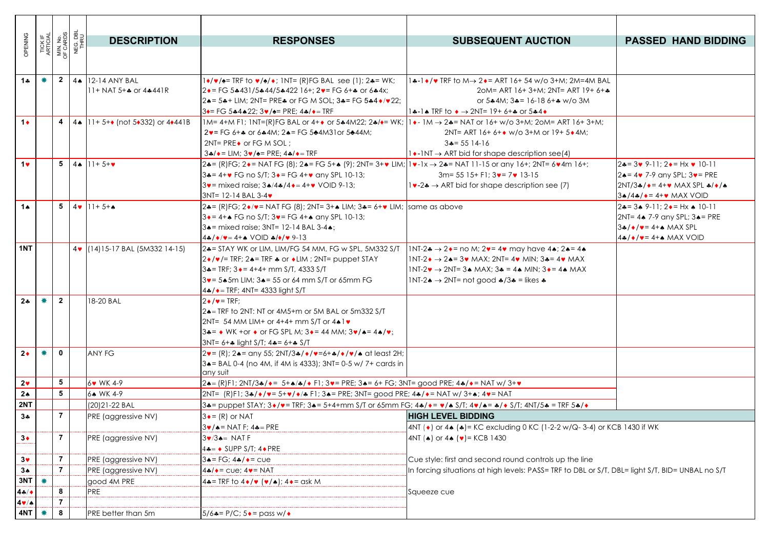| OPENING           | TICK IF<br>ARTICIAL |                         | MIN. No.<br>OF CARDS<br>NEG. DBL<br>THRU | <b>DESCRIPTION</b>                                                  | <b>RESPONSES</b>                                                                                                                                                               | <b>SUBSEQUENT AUCTION</b>                                                                                                                   | <b>PASSED HAND BIDDING</b>                                  |
|-------------------|---------------------|-------------------------|------------------------------------------|---------------------------------------------------------------------|--------------------------------------------------------------------------------------------------------------------------------------------------------------------------------|---------------------------------------------------------------------------------------------------------------------------------------------|-------------------------------------------------------------|
|                   |                     |                         |                                          |                                                                     |                                                                                                                                                                                |                                                                                                                                             |                                                             |
|                   |                     |                         |                                          |                                                                     |                                                                                                                                                                                |                                                                                                                                             |                                                             |
| $1 +$             |                     | $\mathbf{2}$            | $4 \spadesuit$                           | 12-14 ANY BAL                                                       | $1\rightarrow/\bullet$ = TRF to $\bullet/\bullet$ ; INT= (R)FG BAL see (1); 2.4= WK;                                                                                           | 1.4-1 •/• TRF to M→ 2.• = ART 16+ 54 w/o 3+M; 2M=4M BAL                                                                                     |                                                             |
|                   |                     |                         |                                          | $11+$ NAT 5+ $\clubsuit$ or 4 $\clubsuit$ 441R                      | $2 \cdot = F$ G 5 $\cdot$ 431/5 $\cdot$ 44/5 $\cdot$ 422 16+; 2 $\cdot$ = FG 6+ $\cdot$ or 6 $\cdot$ 4x;                                                                       | 20M= ART 16+ 3+M; 2NT= ART 19+ 6+*                                                                                                          |                                                             |
|                   |                     |                         |                                          |                                                                     | 2. = 5. + LIM; 2NT= PRE. or FG M SOL; 3. = FG 5. 4 + / v 22;                                                                                                                   | or $5*4M$ ; $3* = 16-186+$ w/o 3M                                                                                                           |                                                             |
|                   |                     |                         |                                          |                                                                     | $3 \leftarrow$ FG 5+4 + 22; $3 \vee$ / $\leftarrow$ PRE; $4 \cdot / \leftarrow$ TRF                                                                                            | $1$ +-1 + TRF to $\rightarrow$ 2NT= 19+ 6++ or 5+4 +                                                                                        |                                                             |
| $1+$              |                     |                         |                                          | 4   4   11 + 5+ $\bullet$ (not 5 $\bullet$ 332) or 4 $\bullet$ 441B | $1M=4+M$ F1; $1NT=(R)FG$ BAL or $4+\bullet$ or $5*4M22$ ; $2*\rightarrow=WK$ ; $1*\rightarrow 1M \rightarrow 2*\rightarrow NAT$ or $16+\frac{W}{O}3+M$ ; $2OM=ART$ 16+ $3+M$ ; |                                                                                                                                             |                                                             |
|                   |                     |                         |                                          |                                                                     | $2v = FG 6 +$ or 6 $*4M$ : $2e = FG 5 + 4M3$ or 5 $*44M$ :                                                                                                                     | 2NT= ART 16+ 6+ $\bullet$ w/o 3+M or 19+ 5 $\bullet$ 4M;                                                                                    |                                                             |
|                   |                     |                         |                                          |                                                                     | $2NT = PRE \cdot or FG M SOL$ :                                                                                                                                                | $3 = 5514-16$                                                                                                                               |                                                             |
|                   |                     |                         |                                          |                                                                     | $3\cdot\sqrt{ }$ = LIM; $3\nu/$ = PRE; $4\cdot\sqrt{ }$ = TRF                                                                                                                  | $1 \rightarrow$ -INT $\rightarrow$ ART bid for shape description see(4)                                                                     |                                                             |
| 1 <sub>v</sub>    |                     |                         |                                          | 5 44 $11+5+\nu$                                                     | 2.4= (R)FG; 2. + NAT FG (8); 2.4= FG 5+ A (9); 2NT= 3+ v LIM; $ v - 1x $ $\rightarrow$ 2.4= NAT 11-15 or any 16+; 2NT= 6. 4m 16+;                                              |                                                                                                                                             | $24 = 3 \times 9 - 11$ ; $2 \cdot = Hx \cdot 10 - 11$       |
|                   |                     |                         |                                          |                                                                     | $34 = 4 + \cdot$ FG no S/T; $3 \cdot = FG 4 + \cdot$ any SPL 10-13;                                                                                                            | $3m = 5515 + F1$ ; $3\vee = 7\vee 13-15$                                                                                                    | $2 \triangle = 4 \cdot 7 - 9$ any SPL; $3 \cdot =$ PRE      |
|                   |                     |                         |                                          |                                                                     | $3v$ = mixed raise; $3\cdot 4\cdot 4\cdot 4 = 4+v$ VOID 9-13;                                                                                                                  | $1\rightarrow -2\rightarrow$ ART bid for shape description see (7)                                                                          | $2NT/3$ */ $\bullet$ = 4+ $\bullet$ MAX SPL */ $\bullet$ /* |
|                   |                     |                         |                                          |                                                                     | $3NT = 12 - 14 BAL 3 - 4$                                                                                                                                                      |                                                                                                                                             | $3*(4*/\cdot) = 4+\cdot$ MAX VOID                           |
| $1^$              |                     |                         |                                          | 5 4 $11+5+A$                                                        | 2.4= (R)FG; 2 $\bullet/\bullet$ = NAT FG (8); 2NT= 3+ $\bullet$ LIM; 3.4= 6+ $\bullet$ LIM; same as above                                                                      |                                                                                                                                             | $2* = 3* 9-11$ : $2* = Hx * 10-11$                          |
|                   |                     |                         |                                          |                                                                     | $3 \cdot = 4 + 16$ FG no S/T; $3 \cdot = 56$ 4+ $\cdot$ any SPL 10-13;                                                                                                         |                                                                                                                                             | 2NT= 4. 7-9 any SPL; 3. = PRE                               |
|                   |                     |                         |                                          |                                                                     | 3. = mixed raise; 3NT= 12-14 BAL 3-4.<br>$4\cdot\sqrt{\bullet/\bullet} = 4 + \bullet \text{ VOD} \cdot \frac{\bullet}{\bullet/\bullet} \cdot \frac{9-13}{9}$                   |                                                                                                                                             | $3*/*/=4+A$ MAX SPL<br>$4$ */*/*= 4+* MAX VOID              |
| 1NT               |                     |                         |                                          | 4 (14) 15-17 BAL (5M332 14-15)                                      | 2. STAY WK or LIM, LIM/FG 54 MM, FG w SPL, 5M332 S/T                                                                                                                           | INT-2 $\clubsuit \rightarrow 2 \bullet =$ no M; 2 $\triangledown = 4 \triangledown$ may have 4 $\spadesuit$ ; 2 $\spadesuit = 4 \spadesuit$ |                                                             |
|                   |                     |                         |                                          |                                                                     | $2 \cdot / \cdot / \cdot$ TRF; 2. TRF $\ast$ or $\ast$ LIM; 2NT= puppet STAY                                                                                                   | $1NT-2 \rightarrow 2 \rightarrow 3 \rightarrow MAX$ : $2NT = 4 \rightarrow MIN$ : $3 \rightarrow 4 \rightarrow MAX$                         |                                                             |
|                   |                     |                         |                                          |                                                                     | $3 = TRF$ ; $3 = 4 + 4 + mm S/T$ , $4333 S/T$                                                                                                                                  | $INT-2$ $\rightarrow$ 2NT= 3.4 MAX; 3.4 = 4.4 MIN; 3.4 = 4.4 MAX                                                                            |                                                             |
|                   |                     |                         |                                          |                                                                     | $3v = 5*5m$ LIM; $3* = 55$ or 64 mm S/T or 65mm FG                                                                                                                             | $1NT-2 \triangle \rightarrow 2NT = not good \triangle 73 \triangle = likes \triangle 5$                                                     |                                                             |
|                   |                     |                         |                                          |                                                                     | $4*/\bullet$ = TRF; 4NT= 4333 light S/T                                                                                                                                        |                                                                                                                                             |                                                             |
| $2*$              |                     | $\mathbf{2}$            |                                          | 18-20 BAL                                                           | $2 \cdot / \cdot = \text{TRF}$                                                                                                                                                 |                                                                                                                                             |                                                             |
|                   |                     |                         |                                          |                                                                     | 24=TRF to 2NT: NT or 4M5+m or 5M BAL or 5m332 S/T                                                                                                                              |                                                                                                                                             |                                                             |
|                   |                     |                         |                                          |                                                                     | 2NT= 54 MM LIM+ or 4+4+ mm S/T or $4 \cdot 1 \cdot$                                                                                                                            |                                                                                                                                             |                                                             |
|                   |                     |                         |                                          |                                                                     | $3\clubsuit = \bullet$ WK +or $\bullet$ or FG SPL M; $3\bullet = 44$ MM; $3\bullet / \bullet = 4\bullet / \bullet$ ;                                                           |                                                                                                                                             |                                                             |
|                   |                     |                         |                                          |                                                                     | 3NT= 6+* light S/T; 4*= 6+* S/T                                                                                                                                                |                                                                                                                                             |                                                             |
| $2*$              | 兼                   | 0                       |                                          | <b>ANY FG</b>                                                       | $2v = (R)$ ; 24= any 55; 2NT/34/ $\bullet$ / $v = 6 + \bullet$ / $\bullet$ / $v / \bullet$ at least 2H;                                                                        |                                                                                                                                             |                                                             |
|                   |                     |                         |                                          |                                                                     | 3. = BAL 0-4 (no 4M, if 4M is 4333); 3NT= 0-5 w/ 7+ cards in                                                                                                                   |                                                                                                                                             |                                                             |
| 2 <sub>v</sub>    |                     | 5                       |                                          | 6v WK 4-9                                                           | any suit<br>24= (R)F1; 2NT/3+/+= 5++/+/+ F1; 3+= PRE; 3+= 6+ FG; 3NT= good PRE; 4+/+= NAT w/ 3++                                                                               |                                                                                                                                             |                                                             |
| $2*$              |                     | $\overline{\mathbf{5}}$ |                                          | 6. WK 4-9                                                           | $ 2NF = (R)F1; 3*/*/= 5+*/*/= 1$ ; 34 = PRE; 3NT= good PRE; 44/ $*= NAT W/3+*/4 = NAT$                                                                                         |                                                                                                                                             |                                                             |
| 2NT               |                     |                         |                                          | (20) 21-22 BAL                                                      | 3+= puppet STAY; 3+/v= TRF; 3+= 5+4+mm S/T or 65mm FG; 4+/+= v/+ S/T; 4v/+= +/+ S/T; 4NT/5+ = TRF 5+/+                                                                         |                                                                                                                                             |                                                             |
| $3+$              |                     | $\overline{7}$          |                                          | PRE (aggressive NV)                                                 | $3 \bullet = (R)$ or NAT                                                                                                                                                       | <b>HIGH LEVEL BIDDING</b>                                                                                                                   |                                                             |
|                   |                     |                         |                                          |                                                                     | $3\blacktriangleright$ / $\blacktriangle$ = NAT F; 4 $\blacktriangle$ = PRE                                                                                                    | 4NT ( $\bullet$ ) or 4 $\bullet$ ( $\bullet$ ) = KC excluding 0 KC (1-2-2 w/Q-3-4) or KCB 1430 if WK                                        |                                                             |
| $3*$              |                     | $\overline{7}$          |                                          | PRE (aggressive NV)                                                 | $3\blacktriangledown/3\blacktriangle = NATF$                                                                                                                                   | 4NT ( $\bullet$ ) or 4 $\bullet$ ( $\bullet$ ) = KCB 1430                                                                                   |                                                             |
|                   |                     |                         |                                          |                                                                     | $4\clubsuit = \bullet$ SUPP S/T; $4\bullet$ PRE                                                                                                                                |                                                                                                                                             |                                                             |
| $3\vee$           |                     | $\overline{7}$          |                                          | PRE (aggressive NV)                                                 | $3 \triangle = FG; 4 \triangle / \triangle = C \cup e$                                                                                                                         | Cue style: first and second round controls up the line                                                                                      |                                                             |
| $3*$              |                     | $\overline{7}$          |                                          | PRE (aggressive NV)                                                 | $4$ */ $\bullet$ = cue; $4\bullet$ = NAT                                                                                                                                       | In forcing situations at high levels: PASS= TRF to DBL or S/T, DBL= light S/T, BID= UNBAL no S/T                                            |                                                             |
| 3NT               | ₩                   |                         |                                          | good 4M PRE                                                         | $4\bullet$ = TRF to $4\bullet/\bullet$ ( $\bullet/\bullet$ ); $4\bullet$ = ask M                                                                                               |                                                                                                                                             |                                                             |
| $4 \div 4$        |                     | 8                       |                                          | PRE                                                                 |                                                                                                                                                                                | Squeeze cue                                                                                                                                 |                                                             |
| $4 \cdot / \cdot$ |                     | $\overline{7}$          |                                          |                                                                     |                                                                                                                                                                                |                                                                                                                                             |                                                             |
| 4NT               |                     | 8                       |                                          | PRE better than 5m                                                  | $5/6$ $\bullet$ = P/C; $5 \bullet$ = pass w/ $\bullet$                                                                                                                         |                                                                                                                                             |                                                             |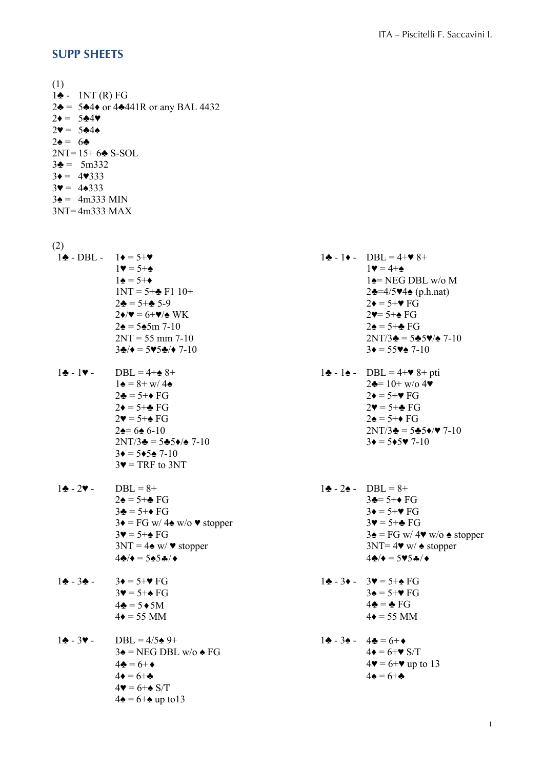## **SUPP SHEETS**

(1)  $1\spadesuit$  - 1NT (R) FG  $2\clubsuit = 5\clubsuit 4\spadesuit$  or  $4\spadesuit 441R$  or any BAL 4432  $2\bullet = 5\clubsuit 4\blacktriangledown$  $2 \cdot = 5 + 4$  $2\spadesuit = 6\spadesuit$ 2NT= 15+ 6♣ S-SOL  $3\clubsuit = 5 \text{m}332$  $3\bullet = 4\blacktriangledown 333$  $3\Psi = 4\spadesuit 333$  $3\spadesuit = 4 \text{m}333 \text{ MIN}$ 3NT= 4m333 MAX

(2)

- $1\clubsuit DBL 1\spadesuit = 5+\heartsuit$  1 $\spadesuit 1\spadesuit DBL = 4+\heartsuit 8+$  $1 \blacktriangledown = 5 + \spadesuit$  1 $\blacktriangledown = 4 + \spadesuit$
- $2NT/3\clubsuit = 5\clubsuit 5\spadesuit/\spadesuit$  7-10  $3\spadesuit = 5\spadesuit 5\spadesuit 7-10$  $3\bullet = 5\bullet 5\bullet 7-10$  $3\blacktriangledown$  = TRF to 3NT
- $1 \div -2 \times -$  DBL = 8+  $1 \div -2 \div -$  DBL = 8+  $2\spadesuit = 5 + \spadesuit \text{FG}$  3 $\spadesuit = 5 + \spadesuit \text{FG}$  $3\clubsuit = 5+\bullet \text{ FG}$   $3\spadesuit = 5+\bullet \text{ FG}$  $3\blacklozenge = FG \text{ w}/4\blacklozenge \text{ w/o} \blacktriangledown \text{ stopper}$   $3\blacktriangledown = 5+\blacktriangleright G$  $4\clubsuit/\bullet = 5\spadesuit 5\clubsuit/\bullet$  4♣ $\bullet$   $= 5\spadesuit 5\clubsuit/\bullet$
- $1\clubsuit 3\spadesuit 3\spadesuit = 5 + \text{V}$  FG  $1\clubsuit 3\spadesuit 3\text{V} = 5 + \text{A}$  FG
- $1 \cdot \bullet 3 \cdot \bullet 1 \cdot \bullet = 4/5 \cdot \bullet + \bullet = 6 + \bullet$  $3\blacktriangle$  = NEG DBL w/o  $\blacktriangle$  FG 4 $\blacktriangleright$  = 6+ $\blacktriangleright$  S/T  $4\bullet = 6 + \clubsuit$  4 $\bullet = 6 + \clubsuit$  $4\blacktriangledown = 6 + \spadesuit S/T$  $4\spadesuit = 6 + \spadesuit$  up to 13

 $1\spadesuit = 5+\spadesuit$  1 $\spadesuit = \text{NEG} \text{DBL}$  w/o M  $1NT = 5 + \frac{1}{2}F1 10 + 2\frac{1}{2} = 4/5$  $2\clubsuit = 5 + \clubsuit 5 - 9$  2 $\spadesuit = 5 + \heartsuit$  FG  $2\blacklozenge = 6+\blacktriangledown/\blacktriangle$  WK  $2\blacktriangledown = 5+\blacktriangle$  FG  $2\spadesuit = 5\spadesuit 5\rm{m}$  7-10  $2\spadesuit = 5\spadesuit \text{FG}$  $2NT = 55 \text{ mm } 7-10$   $2NT/3 \div 5 \div 5 \div 7-10$  $3\clubsuit/\bullet = 5\blacktriangledown 5\spadesuit/\bullet$  7-10  $3\blacklozenge = 55\blacktriangledown \spadesuit$  7-10  $1 \cdot \cdot \cdot$  DBL = 4+ $\cdot \cdot \cdot$  8+ 1 $\cdot \cdot \cdot$  1 $\cdot \cdot \cdot$  1 $\cdot \cdot \cdot$  1 $\cdot \cdot \cdot$  1 $\cdot \cdot \cdot$  DBL = 4+ $\cdot \cdot \cdot$  8+ pti  $1\spadesuit = 8 + \frac{w}{4}$  2 $\spadesuit = 10 + \frac{w}{9}$  4  $2\clubsuit = 5+\bullet \text{ FG}$   $2\spadesuit = 5+\bullet \text{ FG}$  $2\blacklozenge = 5 + \clubsuit \text{FG}$  2 $\blacktriangleright = 5 + \clubsuit \text{FG}$  $2\blacklozenge = 5 + \blacklozenge$  FG  $2\blacklozenge = 5 + \blacklozenge$  FG

- $2\spadesuit = 6\spadesuit 6-10$  2NT/3 $\spadesuit = 5\spadesuit 5\spadesuit/\blacktriangledown 7-10$
- $3\blacktriangleright = 5 + \triangle$  FG  $3\blacktriangleright = F$ G w/  $4\blacktriangleright$  w/o  $\triangle$  stopper  $3NT = 4 \cdot w / \cdot$  stopper 3NT= 4 $\cdot w / \cdot$  stopper
- $3\blacklozenge = 5 + \blacklozenge$  FG  $3\blacklozenge = 5 + \blacktriangledown$  FG  $4\clubsuit = 5\spadesuit 5M$   $4\clubsuit = \clubsuit FG$  $4\bullet = 55$  MM  $4\bullet = 55$  MM
- $4\bullet = 6+\bullet$   $4\bullet = 6+\bullet$  up to 13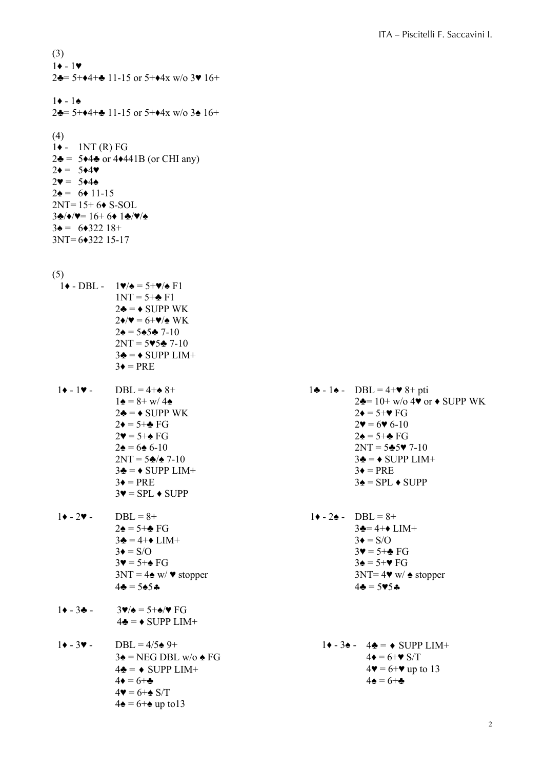(3)  $1 \rightarrow -1 \rightarrow$  $2\clubsuit$ = 5+ $\triangleleft$ 4+ $\clubsuit$  11-15 or 5+ $\triangleleft$ 4x w/o 3 $\triangledown$  16+  $1 \cdot - 1 \cdot 2\clubsuit$ = 5+ $\triangleleft$ 4+ $\clubsuit$  11-15 or 5+ $\triangleleft$ 4x w/o 3 $\spadesuit$  16+ (4)  $1\blacklozenge$  - 1NT (R) FG  $2\clubsuit$  = 5 $\triangleleft$ 4 $\clubsuit$  or 4 $\triangleleft$ 441B (or CHI any)  $2\bullet = 5\bullet 4\blacktriangledown$  $2\mathbf{v} = 5*4\mathbf{A}$  $2\spadesuit = 6\spadesuit 11-15$  $2NT= 15+ 6* S-SOL$ 3♣/♦/♥= 16+ 6♦ 1♣/♥/♠  $3\spadesuit = 6\spadesuit 322\; 18+$ 3NT= 6♦322 15-17 (5)  $1\blacklozenge$  - DBL -  $1\blacktriangledown$   $\blacklozenge$  = 5+ $\blacktriangledown$   $\blacklozenge$  F1  $1NT = 5 + \bullet F1$  $2\clubsuit = \lozenge$  SUPP WK  $2\blacklozenge/\blacktriangledown = 6+\blacktriangledown/\blacktriangle$  WK  $2\spadesuit$  = 5 $\spadesuit$  5 $\clubsuit$  7-10  $2NT = 595 - 7-10$  $3\clubsuit = \spadesuit$  SUPP LIM+  $3\bullet = PRE$ 1♦ - 1♥ - DBL = 4+♠ 8+ 1♣ - 1♠ - DBL = 4+♥ 8+ pti  $2\clubsuit = \bullet$  SUPP WK 2 $\bullet = 5+\bullet$  FG  $2\blacklozenge = 5 + \clubsuit \text{FG}$  2 $\blacktriangledown = 6\blacktriangledown 6 - 10$  $2\blacklozenge = 5 + \clubsuit \text{FG}$  2 $\blacklozenge = 5 + \clubsuit \text{FG}$  $2\mathbf{A} = 6\mathbf{\triangle} 6-10$  2NT = 5 $\mathbf{\triangle} 5\mathbf{v}$  7-10  $2NT = 5 \div 7-10$  3 $\div = 5 \div 7-10$  $3\clubsuit = \bullet$  SUPP LIM+  $3\spadesuit = \text{PRE}$  $3\blacklozenge = \text{PRE}$   $3\blacklozenge = \text{SPL} \blacklozenge \text{SUPP}$  $3\blacktriangledown =$  SPL  $\blacktriangleright$  SUPP  $1\blacklozenge - 2\blacktriangledown - \text{DBL} = 8+$  1 $\blacklozenge - 2\blacklozenge - \text{DBL} = 8+$  $2\spadesuit = 5\spadesuit \mathbb{F}G$  3 $\spadesuit = 4\spadesuit$  LIM+  $3\clubsuit = 4 + \bullet$  LIM+  $3\bullet = S/O$  $3\blacklozenge = S/O$   $3\blacktriangledown = 5+\clubsuit FG$  $3\blacklozenge = 5 + \blacklozenge$  FG  $3\blacklozenge = 5 + \blacktriangledown$  FG  $3NT = 4 \cdot w / \cdot$  stopper 3NT= 4 $\cdot w / \cdot$  stopper  $4\clubsuit = 5\spadesuit 5\spadesuit$  4  $1\bullet - 3\bullet - 3\bullet/4 = 5 + \bullet/\bullet$  FG  $4\clubsuit = \spadesuit$  SUPP LIM+ 1♦ - 3♥ - DBL = 4/5♠ 9+ 1♦ - 3♠ - 4♣ = ¨ SUPP LIM+  $3\spadesuit$  = NEG DBL w/o  $\spadesuit$  FG 4 $\spadesuit$  = 6+ $\spadesuit$  S/T  $4\clubsuit = \bullet$  SUPP LIM+  $4\blacktriangledown = 6+\blacktriangledown$  up to 13  $4\bullet = 6 + \clubsuit$   $4\bullet = 6 + \clubsuit$  $4\mathbf{v} = 6 + \mathbf{A} S/T$  $4\spadesuit = 6 + \spadesuit$  up to 13

 $1\blacktriangle = 8 + w/4\blacktriangle$  2 $\blacktriangle = 10 + w/0.4$   $\blacktriangledown$  or  $\blacktriangle$  SUPP WK

- -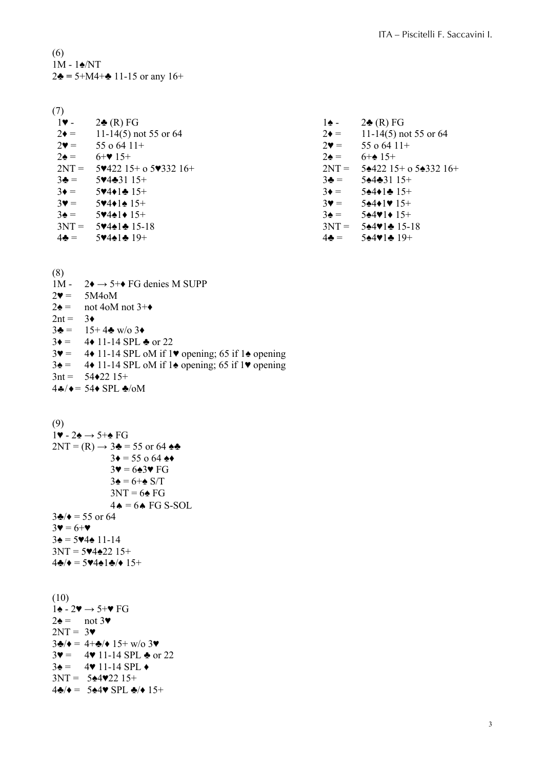(6) 1M - 1♠/NT  $2\clubsuit = 5 + M4 + \clubsuit 11 - 15$  or any  $16 +$ 

 $\frac{(7)}{1}$ .  $2\clubsuit$  (R) FG 1 $\spadesuit$  - 2 $\clubsuit$  (R) FG  $2\bullet =$  11-14(5) not 55 or 64 <br>  $2\bullet =$  11-14(5) not 55 or 64<br>  $2\bullet =$  11-14(5) not 55 or 64<br>  $2\bullet =$  55 o 64 11+  $2\blacktriangledown =$  55 o 64 11+  $2\blacktriangledown =$  55 o 64 11+  $2\spadesuit = 6 + \spadesuit 15 +$  2 $\spadesuit = 6 + \spadesuit 15 +$  $2NT = 5\cdot422\cdot15+$  o 5 $\cdot\cdot332\cdot16+$   $2NT = 5\cdot422\cdot15+$  o 5 $\cdot\cdot332\cdot16+$  $3\clubsuit = 5\sp{0.4}\clubsuit$   $3\spadesuit = 5\spadesuit$   $4\spadesuit$   $31\spadesuit$   $15\spadesuit$  $3\bullet =$  5 $\bullet$ 4 $\bullet$ 1 $\bullet$  15+ 3 $\bullet$  5 $\bullet$ 4 $\bullet$ 1 $\bullet$  15+  $3\mathbf{v} = 5\mathbf{v}4\mathbf{1}\mathbf{A} 15+$   $3\mathbf{v} = 5\mathbf{A}4\mathbf{1}\mathbf{v} 15+$  $3\spadesuit = 5\spadesuit 4\spadesuit 15+$   $3\spadesuit = 5\spadesuit 4\spadesuit 15+$ <br> $3\spadesuit = 5\spadesuit 4\spadesuit 15+$   $3\spadesuit = 5\spadesuit 4\spadesuit 15+$ <br> $3NT = 5\spadesuit 4\spadesuit 15-18$  $3NT = 5\div 4\div 15-18$   $3NT = 5\div 4\div 15-18$ <br> $4\div = 5\div 4\div 19+$   $4\div = 5\div 4\div 19+$  $5\sqrt{4\cdot 1\cdot 19}$  +  $4\cdot 1\cdot 19$  +  $4\cdot 1\cdot 19$  +  $4\cdot 1\cdot 19$  +  $4\cdot 1\cdot 19$  +  $4\cdot 1\cdot 19$  +  $4\cdot 1\cdot 19$  +  $4\cdot 1\cdot 19$  +  $4\cdot 1\cdot 19$  +  $4\cdot 1\cdot 19$  +  $4\cdot 1\cdot 19$  +  $4\cdot 1\cdot 19$  +  $4\cdot 1\cdot 19$  +  $4\cdot 1\cdot 19$  +  $4\cdot 1$ 

(8) 1M -  $2\rightarrow 5+\rightarrow$  FG denies M SUPP  $2\bullet = 5M4oM$  $2\spadesuit =$  not 4oM not 3+ $\spadesuit$  $2nt = 3*$  $3\clubsuit = 15 + 4\clubsuit$  w/o 3+  $3\bullet = 4\bullet 11 - 14$  SPL  $\bullet$  or 22  $3\blacktriangledown = 4\blacktriangleright 11$ -14 SPL oM if 1 $\blacktriangledown$  opening; 65 if 1 $\blacktriangle$  opening  $3\spadesuit =$  4♦ 11-14 SPL oM if 1 $\spadesuit$  opening; 65 if 1 $\spadesuit$  opening  $3nt = 54 \times 22 \times 15^+$  $4\clubsuit/\bullet = 54\spadesuit$  SPL  $\clubsuit$ /oM

(9)

```
1\blacktriangledown - 2\blacktriangle \rightarrow 5+ \blacktriangle F G2NT = (R) \rightarrow 3\clubsuit = 55 or 64 \spadesuit \clubsuit3\bullet = 55 o 64 \bullet\bullet3\Psi = 6\div 3\Psi FG
                               3\spadesuit = 6 + \spadesuit S/T3NT = 6 FG
                               4\bullet = 6\bullet FG S-SOL
3\clubsuit/\bullet = 55 or 64
3\Psi = 6+\Psi3\spadesuit = 5\blacktriangledown4\spadesuit 11-14
3NT = 5. 4.2215 +4\clubsuit/\bullet = 5\blacktriangledown 4\spadesuit 1\clubsuit/\bullet 15+(10)1\spadesuit - 2\blacktriangledown \rightarrow 5+\blacktriangledown FG
2\spadesuit = \text{not } 3\blacktriangledown2NT = 33\clubsuit/\bullet = 4+\clubsuit/\bullet 15+\text{w/o }3\blacktriangledown3\mathbf{v} = 4\mathbf{v} 11 - 14 \text{ SPL} \triangleq \text{or } 223\spadesuit = 4\spadesuit 11-14 SPL \spadesuit
```

```
3NT = 5*492215+
```

```
4\clubsuit/\bullet = 5\spadesuit4\blacktriangledown SPL \clubsuit/\bullet 15+
```